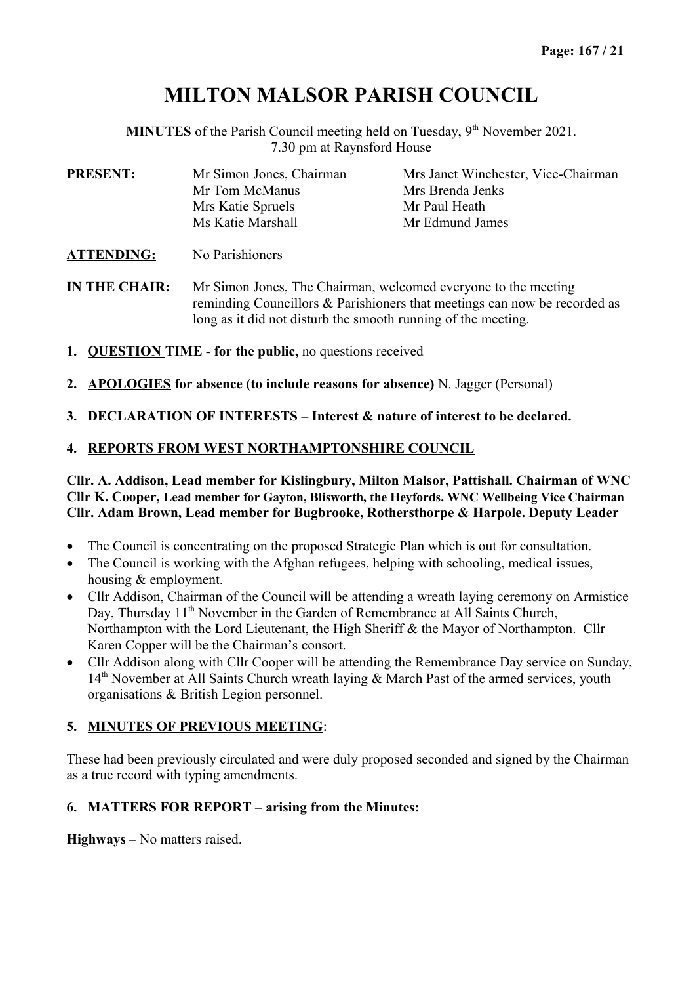# **MILTON MALSOR PARISH COUNCIL**

**MINUTES** of the Parish Council meeting held on Tuesday, 9<sup>th</sup> November 2021. 7.30 pm at Raynsford House

| <b>PRESENT:</b>   | Mr Simon Jones, Chairman | Mrs Janet Winchester, Vice-Chairman |
|-------------------|--------------------------|-------------------------------------|
|                   | Mr Tom McManus           | Mrs Brenda Jenks                    |
|                   | Mrs Katie Spruels        | Mr Paul Heath                       |
|                   | Ms Katie Marshall        | Mr Edmund James                     |
| <b>ATTENDING:</b> | No Parishioners          |                                     |

**IN THE CHAIR:** Mr Simon Jones, The Chairman, welcomed everyone to the meeting reminding Councillors & Parishioners that meetings can now be recorded as long as it did not disturb the smooth running of the meeting.

- **1. QUESTION TIME for the public,** no questions received
- **2. APOLOGIES for absence (to include reasons for absence)** N. Jagger (Personal)
- **3. DECLARATION OF INTERESTS Interest & nature of interest to be declared.**

### **4. REPORTS FROM WEST NORTHAMPTONSHIRE COUNCIL**

#### **Cllr. A. Addison, Lead member for Kislingbury, Milton Malsor, Pattishall. Chairman of WNC Cllr K. Cooper, Lead member for Gayton, Blisworth, the Heyfords. WNC Wellbeing Vice Chairman Cllr. Adam Brown, Lead member for Bugbrooke, Rothersthorpe & Harpole. Deputy Leader**

- The Council is concentrating on the proposed Strategic Plan which is out for consultation.
- The Council is working with the Afghan refugees, helping with schooling, medical issues, housing & employment.
- Cllr Addison, Chairman of the Council will be attending a wreath laying ceremony on Armistice Day, Thursday 11<sup>th</sup> November in the Garden of Remembrance at All Saints Church, Northampton with the Lord Lieutenant, the High Sheriff & the Mayor of Northampton. Cllr Karen Copper will be the Chairman's consort.
- Cllr Addison along with Cllr Cooper will be attending the Remembrance Day service on Sunday, 14<sup>th</sup> November at All Saints Church wreath laying & March Past of the armed services, youth organisations & British Legion personnel.

## **5. MINUTES OF PREVIOUS MEETING**:

These had been previously circulated and were duly proposed seconded and signed by the Chairman as a true record with typing amendments.

## **6. MATTERS FOR REPORT – arising from the Minutes:**

**Highways –** No matters raised.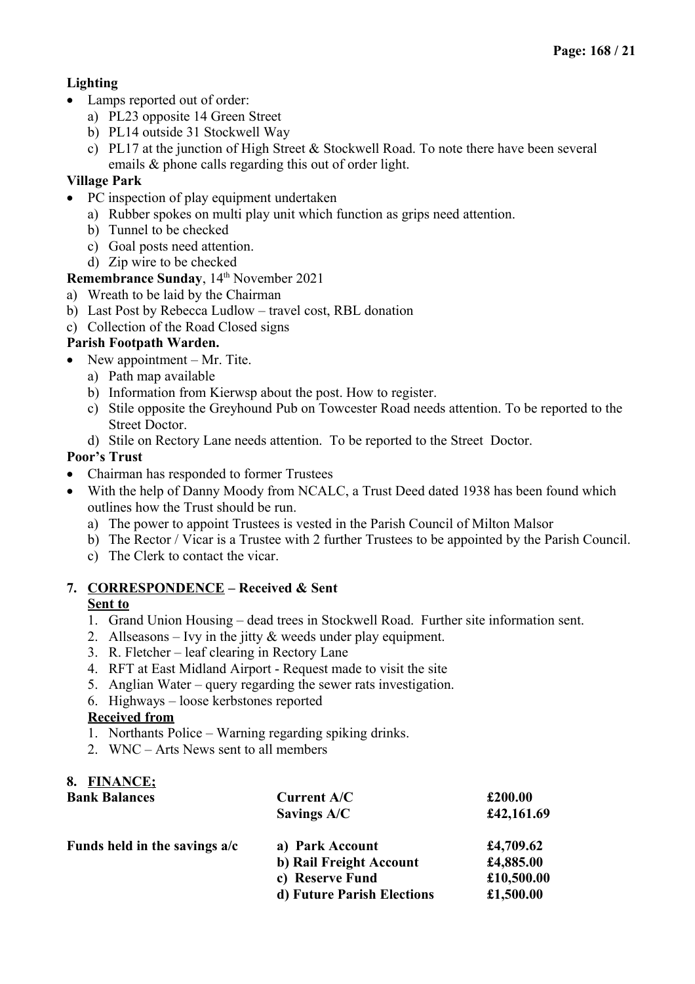# **Lighting**

- Lamps reported out of order:
	- a) PL23 opposite 14 Green Street
	- b) PL14 outside 31 Stockwell Way
	- c) PL17 at the junction of High Street & Stockwell Road. To note there have been several emails & phone calls regarding this out of order light.

# **Village Park**

- PC inspection of play equipment undertaken
	- a) Rubber spokes on multi play unit which function as grips need attention.
	- b) Tunnel to be checked
	- c) Goal posts need attention.
	- d) Zip wire to be checked

**Remembrance Sunday, 14th November 2021** 

- a) Wreath to be laid by the Chairman
- b) Last Post by Rebecca Ludlow travel cost, RBL donation
- c) Collection of the Road Closed signs

# **Parish Footpath Warden.**

- New appointment  $-$  Mr. Tite.
	- a) Path map available
	- b) Information from Kierwsp about the post. How to register.
	- c) Stile opposite the Greyhound Pub on Towcester Road needs attention. To be reported to the Street Doctor.
	- d) Stile on Rectory Lane needs attention. To be reported to the Street Doctor.

# **Poor's Trust**

- Chairman has responded to former Trustees
- With the help of Danny Moody from NCALC, a Trust Deed dated 1938 has been found which outlines how the Trust should be run.
	- a) The power to appoint Trustees is vested in the Parish Council of Milton Malsor
	- b) The Rector / Vicar is a Trustee with 2 further Trustees to be appointed by the Parish Council.
	- c) The Clerk to contact the vicar.

### **7. CORRESPONDENCE – Received & Sent Sent to**

- 1. Grand Union Housing dead trees in Stockwell Road. Further site information sent.
- 2. Allseasons Ivy in the jitty & weeds under play equipment.
- 3. R. Fletcher leaf clearing in Rectory Lane
- 4. RFT at East Midland Airport Request made to visit the site
- 5. Anglian Water query regarding the sewer rats investigation.
- 6. Highways loose kerbstones reported

## **Received from**

- 1. Northants Police Warning regarding spiking drinks.
- 2. WNC Arts News sent to all members

# **8. FINANCE;**

| <b>Bank Balances</b>            | <b>Current A/C</b>         | £200.00    |
|---------------------------------|----------------------------|------------|
|                                 | Savings A/C                | £42,161.69 |
| Funds held in the savings $a/c$ | a) Park Account            | £4,709.62  |
|                                 | b) Rail Freight Account    | £4,885.00  |
|                                 | c) Reserve Fund            | £10,500.00 |
|                                 | d) Future Parish Elections | £1,500.00  |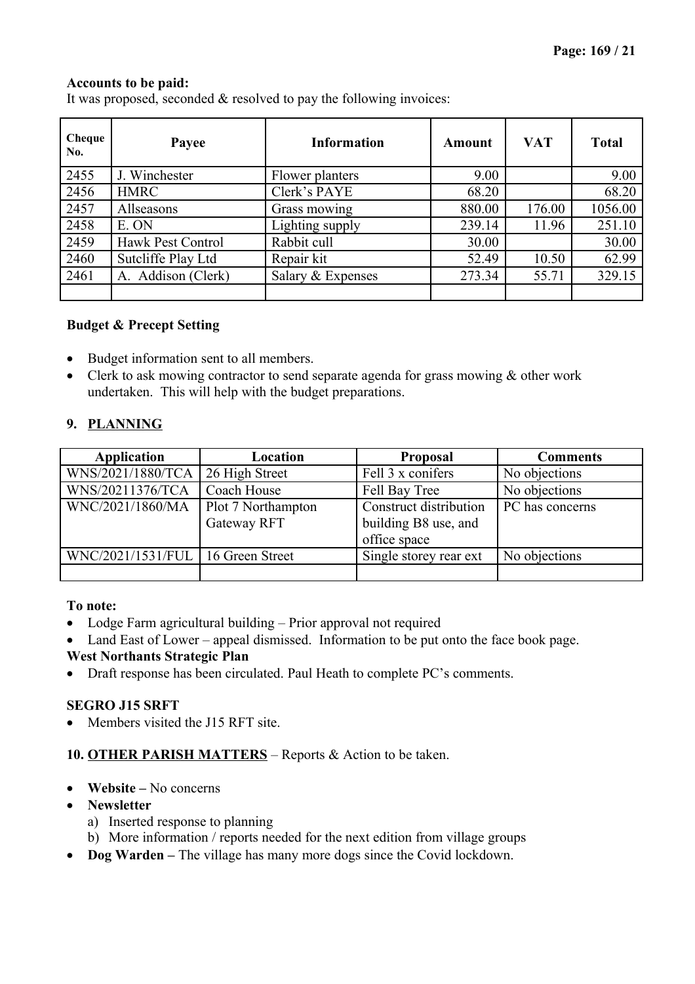## **Accounts to be paid:**

It was proposed, seconded & resolved to pay the following invoices:

| Cheque<br>No. | Payee              | <b>Information</b> | <b>Amount</b> | <b>VAT</b> | <b>Total</b> |
|---------------|--------------------|--------------------|---------------|------------|--------------|
| 2455          | J. Winchester      | Flower planters    | 9.00          |            | 9.00         |
| 2456          | <b>HMRC</b>        | Clerk's PAYE       | 68.20         |            | 68.20        |
| 2457          | Allseasons         | Grass mowing       | 880.00        | 176.00     | 1056.00      |
| 2458          | E. ON              | Lighting supply    | 239.14        | 11.96      | 251.10       |
| 2459          | Hawk Pest Control  | Rabbit cull        | 30.00         |            | 30.00        |
| 2460          | Sutcliffe Play Ltd | Repair kit         | 52.49         | 10.50      | 62.99        |
| 2461          | A. Addison (Clerk) | Salary & Expenses  | 273.34        | 55.71      | 329.15       |
|               |                    |                    |               |            |              |

### **Budget & Precept Setting**

- Budget information sent to all members.
- Clerk to ask mowing contractor to send separate agenda for grass mowing & other work undertaken. This will help with the budget preparations.

## **9. PLANNING**

| Application                         | Location           | <b>Proposal</b>        | <b>Comments</b> |
|-------------------------------------|--------------------|------------------------|-----------------|
| WNS/2021/1880/TCA                   | 26 High Street     | Fell 3 x conifers      | No objections   |
| WNS/20211376/TCA                    | Coach House        | Fell Bay Tree          | No objections   |
| WNC/2021/1860/MA                    | Plot 7 Northampton | Construct distribution | PC has concerns |
|                                     | Gateway RFT        | building B8 use, and   |                 |
|                                     |                    | office space           |                 |
| WNC/2021/1531/FUL   16 Green Street |                    | Single storey rear ext | No objections   |
|                                     |                    |                        |                 |

## **To note:**

- Lodge Farm agricultural building Prior approval not required
- Land East of Lower appeal dismissed. Information to be put onto the face book page.

# **West Northants Strategic Plan**

Draft response has been circulated. Paul Heath to complete PC's comments.

# **SEGRO J15 SRFT**

Members visited the J15 RFT site.

# **10. OTHER PARISH MATTERS** – Reports & Action to be taken.

- **Website** No concerns
- **Newsletter**
	- a) Inserted response to planning
	- b) More information / reports needed for the next edition from village groups
- **Dog Warden** The village has many more dogs since the Covid lockdown.